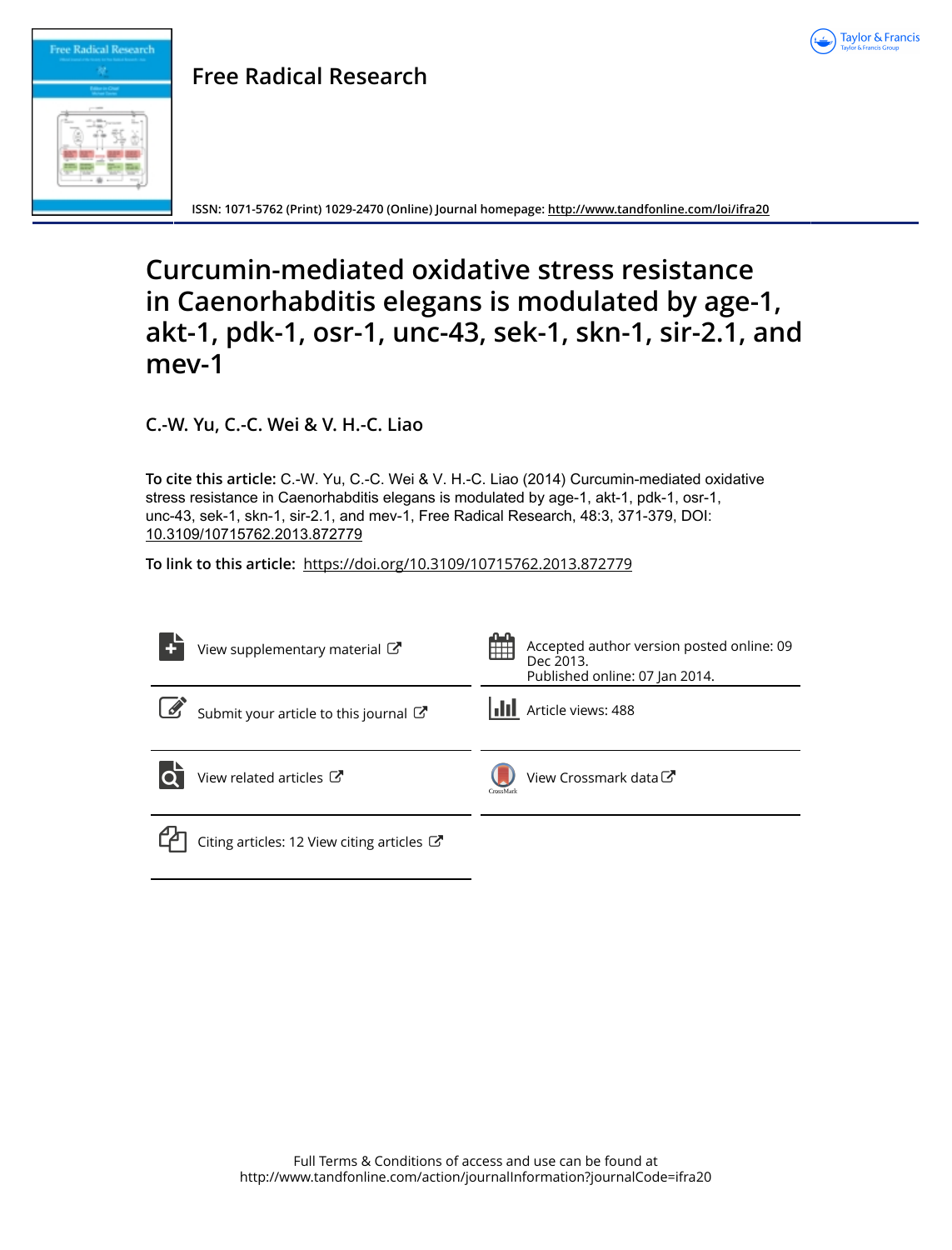

# **Free Radical Research**

**ISSN: 1071-5762 (Print) 1029-2470 (Online) Journal homepage:<http://www.tandfonline.com/loi/ifra20>**

# **Curcumin-mediated oxidative stress resistance in Caenorhabditis elegans is modulated by age-1, akt-1, pdk-1, osr-1, unc-43, sek-1, skn-1, sir-2.1, and mev-1**

**C.-W. Yu, C.-C. Wei & V. H.-C. Liao**

**Free Radical Research**

**To cite this article:** C.-W. Yu, C.-C. Wei & V. H.-C. Liao (2014) Curcumin-mediated oxidative stress resistance in Caenorhabditis elegans is modulated by age-1, akt-1, pdk-1, osr-1, unc-43, sek-1, skn-1, sir-2.1, and mev-1, Free Radical Research, 48:3, 371-379, DOI: [10.3109/10715762.2013.872779](http://www.tandfonline.com/action/showCitFormats?doi=10.3109/10715762.2013.872779)

**To link to this article:** <https://doi.org/10.3109/10715762.2013.872779>

| View supplementary material $\mathbb{Z}$                        | 開開        | Accepted author version posted online: 09<br>Dec 2013.<br>Published online: 07 Jan 2014. |
|-----------------------------------------------------------------|-----------|------------------------------------------------------------------------------------------|
| Submit your article to this journal                             |           | <b>III</b> Article views: 488                                                            |
| View related articles C                                         | CrossMark | View Crossmark data C                                                                    |
| Citing articles: 12 View citing articles $\mathbb{Z}^{\bullet}$ |           |                                                                                          |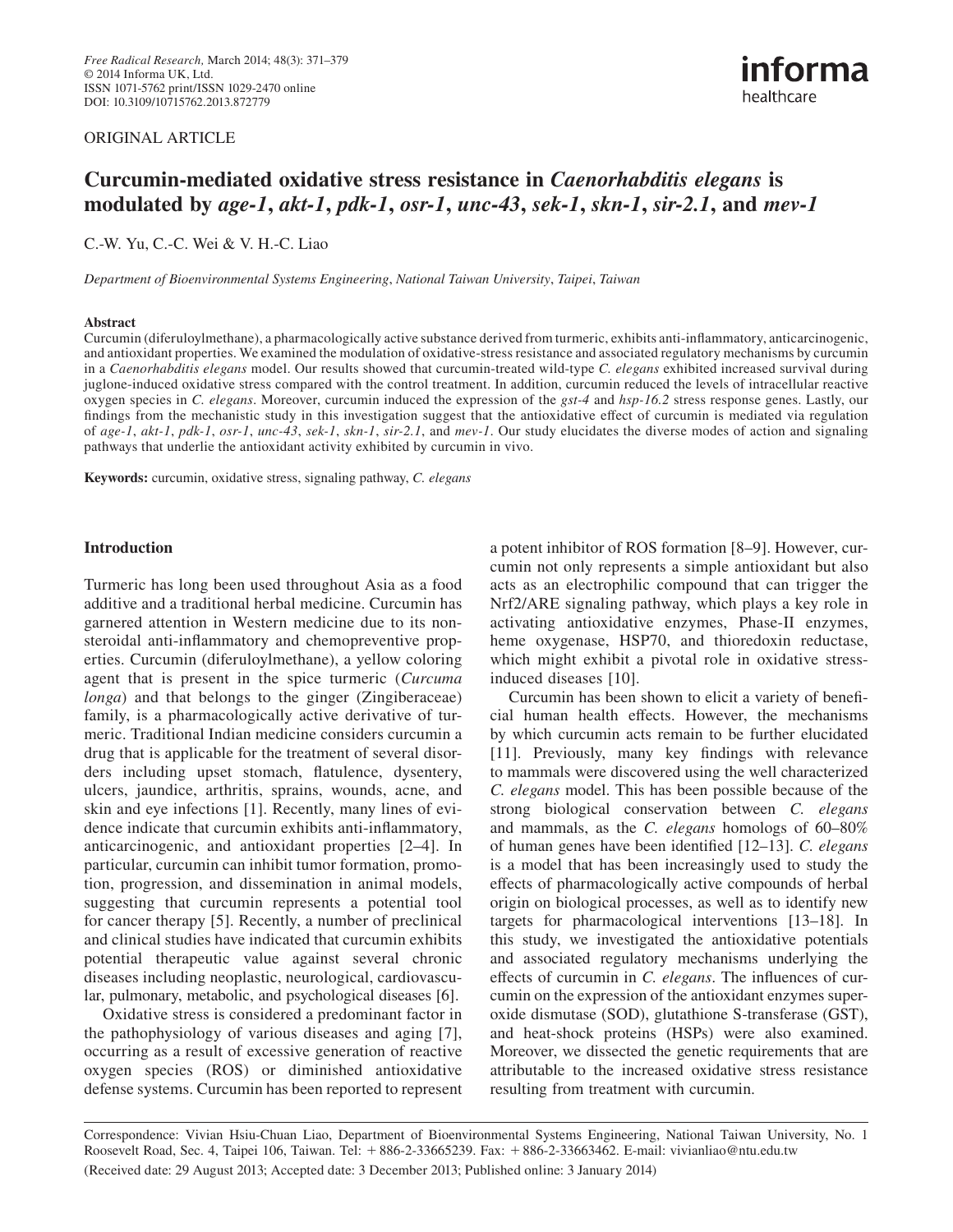### ORIGINAL ARTICLE



## **Curcumin-mediated oxidative stress resistance in** *Caenorhabditis elegans* **is modulated by** *age-1***,** *akt-1***,** *pdk-1***,** *osr-1***,** *unc-43***,** *sek-1***,** *skn-1***,** *sir-2.1***, and** *mev-1*

C.-W. Yu, C.-C. Wei & V. H.-C. Liao

 *Department of Bioenvironmental Systems Engineering*, *National Taiwan University*, *Taipei*, *Taiwan* 

### **Abstract**

Curcumin (diferuloylmethane), a pharmacologically active substance derived from turmeric, exhibits anti-inflammatory, anticarcinogenic, and antioxidant properties. We examined the modulation of oxidative-stress resistance and associated regulatory mechanisms by curcumin in a *Caenorhabditis elegans* model. Our results showed that curcumin-treated wild-type *C. elegans* exhibited increased survival during juglone-induced oxidative stress compared with the control treatment. In addition, curcumin reduced the levels of intracellular reactive oxygen species in *C. elegans* . Moreover, curcumin induced the expression of the *gst-4* and *hsp-16.2* stress response genes. Lastly, our findings from the mechanistic study in this investigation suggest that the antioxidative effect of curcumin is mediated via regulation of *age-1*, *akt-1*, *pdk-1*, *osr-1*, *unc-43*, *sek-1*, *skn-1*, *sir-2.1* , and *mev-1* . Our study elucidates the diverse modes of action and signaling pathways that underlie the antioxidant activity exhibited by curcumin in vivo.

Keywords: curcumin, oxidative stress, signaling pathway, *C. elegans* 

### **Introduction**

 Turmeric has long been used throughout Asia as a food additive and a traditional herbal medicine. Curcumin has garnered attention in Western medicine due to its nonsteroidal anti-inflammatory and chemopreventive properties. Curcumin (diferuloylmethane), a yellow coloring agent that is present in the spice turmeric (*Curcuma longa*) and that belongs to the ginger (Zingiberaceae) family, is a pharmacologically active derivative of turmeric. Traditional Indian medicine considers curcumin a drug that is applicable for the treatment of several disorders including upset stomach, flatulence, dysentery, ulcers, jaundice, arthritis, sprains, wounds, acne, and skin and eye infections [1]. Recently, many lines of evidence indicate that curcumin exhibits anti-inflammatory, anticarcinogenic, and antioxidant properties [2–4]. In particular, curcumin can inhibit tumor formation, promotion, progression, and dissemination in animal models, suggesting that curcumin represents a potential tool for cancer therapy [5]. Recently, a number of preclinical and clinical studies have indicated that curcumin exhibits potential therapeutic value against several chronic diseases including neoplastic, neurological, cardiovascular, pulmonary, metabolic, and psychological diseases [6].

 Oxidative stress is considered a predominant factor in the pathophysiology of various diseases and aging [7], occurring as a result of excessive generation of reactive oxygen species (ROS) or diminished antioxidative defense systems. Curcumin has been reported to represent a potent inhibitor of ROS formation [8–9]. However, curcumin not only represents a simple antioxidant but also acts as an electrophilic compound that can trigger the Nrf2/ARE signaling pathway, which plays a key role in activating antioxidative enzymes, Phase-II enzymes, heme oxygenase, HSP70, and thioredoxin reductase, which might exhibit a pivotal role in oxidative stressinduced diseases [10].

Curcumin has been shown to elicit a variety of beneficial human health effects. However, the mechanisms by which curcumin acts remain to be further elucidated [11]. Previously, many key findings with relevance to mammals were discovered using the well characterized *C. elegans* model. This has been possible because of the strong biological conservation between *C. elegans* and mammals, as the *C. elegans* homologs of 60–80% of human genes have been identified [12–13]. *C. elegans* is a model that has been increasingly used to study the effects of pharmacologically active compounds of herbal origin on biological processes, as well as to identify new targets for pharmacological interventions [13-18]. In this study, we investigated the antioxidative potentials and associated regulatory mechanisms underlying the effects of curcumin in *C. elegans*. The influences of curcumin on the expression of the antioxidant enzymes superoxide dismutase (SOD), glutathione S-transferase (GST), and heat-shock proteins (HSPs) were also examined. Moreover, we dissected the genetic requirements that are attributable to the increased oxidative stress resistance resulting from treatment with curcumin.

 Correspondence: Vivian Hsiu-Chuan Liao, Department of Bioenvironmental Systems Engineering, National Taiwan University, No. 1 Roosevelt Road, Sec. 4, Taipei 106, Taiwan. Tel: +886-2-33665239. Fax: +886-2-33663462. E-mail: vivianliao@ntu.edu.tw (Received date: 29 August 2013 ; Accepted date: 3 December 2013 ; Published online: 3 January 2014 )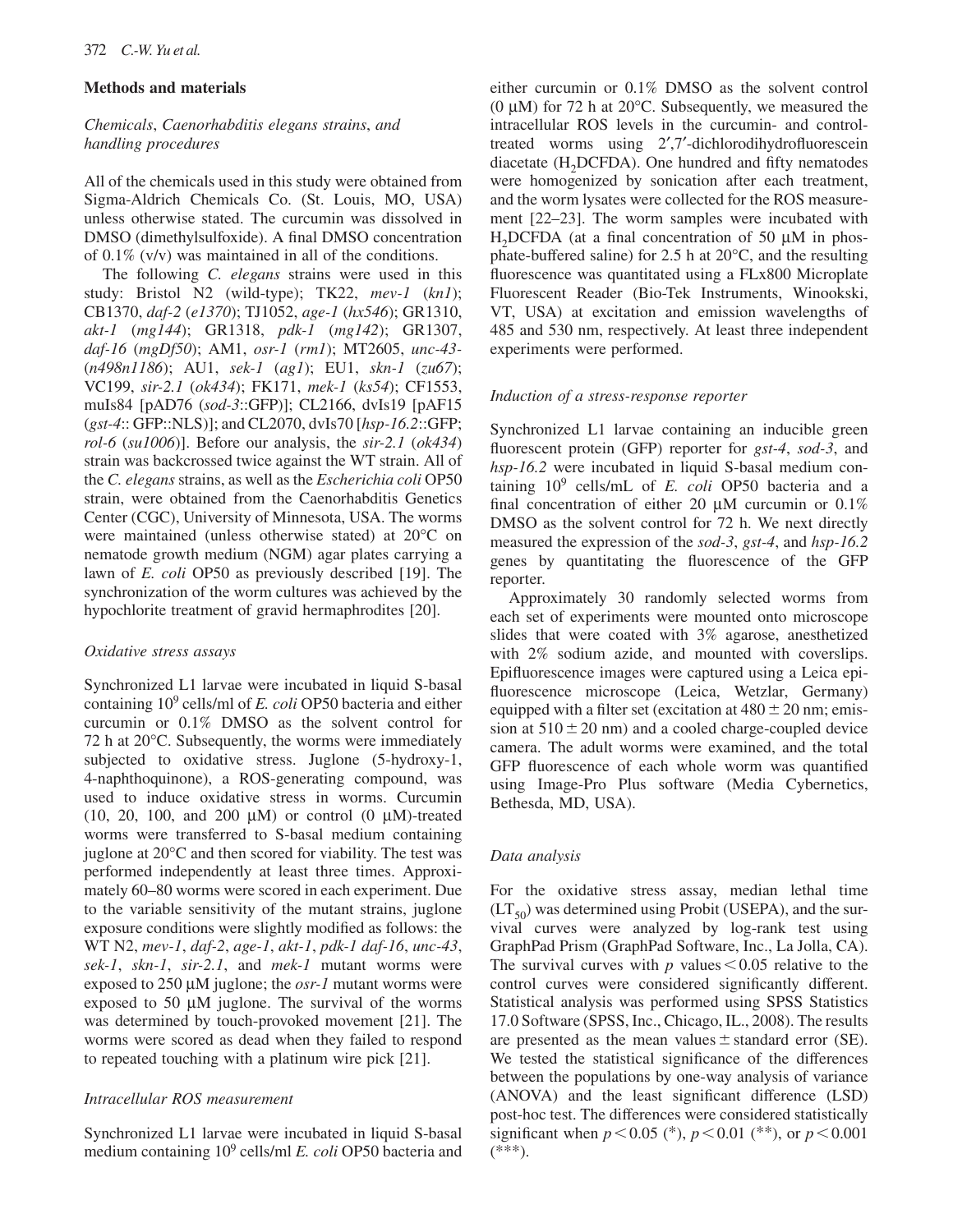### **Methods and materials**

### *Chemicals*, *Caenorhabditis elegans strains*, *and handling procedures*

 All of the chemicals used in this study were obtained from Sigma-Aldrich Chemicals Co. (St. Louis, MO, USA) unless otherwise stated. The curcumin was dissolved in DMSO (dimethylsulfoxide). A final DMSO concentration of  $0.1\%$  (v/v) was maintained in all of the conditions.

 The following *C. elegans* strains were used in this study: Bristol N2 (wild-type); TK22, mev-1 (kn1); CB1370, *daf-2* (*e1370*) ; TJ1052, *age-1* (*hx546*) ; GR1310, *akt-1* ( $mg144$ ); GR1318, *pdk-1* ( $mg142$ ); GR1307, *daf-16* (*mgDf50*) ; AM1, *osr-1* (*rm1*) ; MT2605, *unc-43-* ( $n498n1186$ ); AU1,  $sek-1$  ( $agl$ ); EU1,  $skn-1$  ( $zu67$ ); VC199, *sir-2.1* (*ok434*) ; FK171, *mek-1* (*ks54* ); CF1553, muIs84 [pAD76 ( *sod-3* ::GFP)]; CL2166, dvIs19 [pAF15 ( *gst-4* :: GFP::NLS)]; and CL2070, dvIs70 [ *hsp-16.2* ::GFP; *rol-6* (*su1006*) ]. Before our analysis, the *sir-2.1* (*ok434*) strain was backcrossed twice against the WT strain. All of the *C. elegans* strains, as well as the *Escherichia coli* OP50 strain, were obtained from the Caenorhabditis Genetics Center (CGC), University of Minnesota, USA. The worms were maintained (unless otherwise stated) at  $20^{\circ}$ C on nematode growth medium (NGM) agar plates carrying a lawn of *E. coli* OP50 as previously described [19]. The synchronization of the worm cultures was achieved by the hypochlorite treatment of gravid hermaphrodites [20].

### *Oxidative stress assays*

 Synchronized L1 larvae were incubated in liquid S-basal containing 10<sup>9</sup> cells/ml of *E. coli* OP50 bacteria and either curcumin or 0.1% DMSO as the solvent control for 72 h at  $20^{\circ}$ C. Subsequently, the worms were immediately subjected to oxidative stress. Juglone (5-hydroxy-1, 4-naphthoquinone), a ROS-generating compound, was used to induce oxidative stress in worms. Curcumin (10, 20, 100, and 200  $\mu$ M) or control (0  $\mu$ M)-treated worms were transferred to S-basal medium containing juglone at  $20^{\circ}$ C and then scored for viability. The test was performed independently at least three times. Approximately 60–80 worms were scored in each experiment. Due to the variable sensitivity of the mutant strains, juglone exposure conditions were slightly modified as follows: the WT N2, *mev-1* , *daf-2* , *age-1*, *akt-1*, *pdk-1 daf-16* , *unc-43*, *sek-1*, *skn-1*, *sir-2.1*, and *mek-1* mutant worms were exposed to 250 μM juglone; the *osr-1* mutant worms were exposed to 50  $\mu$ M juglone. The survival of the worms was determined by touch-provoked movement [21]. The worms were scored as dead when they failed to respond to repeated touching with a platinum wire pick [21].

### *Intracellular ROS measurement*

 Synchronized L1 larvae were incubated in liquid S-basal medium containing 10<sup>9</sup> cells/ml *E. coli* OP50 bacteria and either curcumin or 0.1% DMSO as the solvent control (0  $\mu$ M) for 72 h at 20 $^{\circ}$ C. Subsequently, we measured the intracellular ROS levels in the curcumin- and controltreated worms using 2',7'-dichlorodihydrofluorescein diacetate (H<sub>2</sub>DCFDA). One hundred and fifty nematodes were homogenized by sonication after each treatment, and the worm lysates were collected for the ROS measurement [22–23]. The worm samples were incubated with H<sub>2</sub>DCFDA (at a final concentration of 50  $\mu$ M in phosphate-buffered saline) for 2.5 h at  $20^{\circ}$ C, and the resulting fluorescence was quantitated using a FLx800 Microplate Fluorescent Reader (Bio-Tek Instruments, Winookski, VT, USA) at excitation and emission wavelengths of 485 and 530 nm, respectively. At least three independent experiments were performed.

### *Induction of a stress-response reporter*

 Synchronized L1 larvae containing an inducible green fluorescent protein (GFP) reporter for *gst-4*, *sod-3*, and *hsp-16.2* were incubated in liquid S-basal medium containing  $10^9$  cells/mL of *E. coli* OP50 bacteria and a final concentration of either 20  $\mu$ M curcumin or 0.1% DMSO as the solvent control for 72 h. We next directly measured the expression of the *sod-3* , *gst-4* , and *hsp-16.2* genes by quantitating the fluorescence of the GFP reporter.

 Approximately 30 randomly selected worms from each set of experiments were mounted onto microscope slides that were coated with 3% agarose, anesthetized with 2% sodium azide, and mounted with coverslips. Epifluorescence images were captured using a Leica epifluorescence microscope (Leica, Wetzlar, Germany) equipped with a filter set (excitation at  $480 \pm 20$  nm; emission at  $510 \pm 20$  nm) and a cooled charge-coupled device camera. The adult worms were examined, and the total GFP fluorescence of each whole worm was quantified using Image-Pro Plus software (Media Cybernetics, Bethesda, MD, USA).

### *Data analysis*

 For the oxidative stress assay, median lethal time  $(LT<sub>50</sub>)$  was determined using Probit (USEPA), and the survival curves were analyzed by log-rank test using GraphPad Prism (GraphPad Software, Inc., La Jolla, CA). The survival curves with  $p$  values  $\leq 0.05$  relative to the control curves were considered significantly different. Statistical analysis was performed using SPSS Statistics 17.0 Software (SPSS, Inc., Chicago, IL., 2008). The results are presented as the mean values  $\pm$  standard error (SE). We tested the statistical significance of the differences between the populations by one-way analysis of variance (ANOVA) and the least significant difference (LSD) post-hoc test. The differences were considered statistically significant when  $p < 0.05$  (\*),  $p < 0.01$  (\*\*), or  $p < 0.001$  $(***).$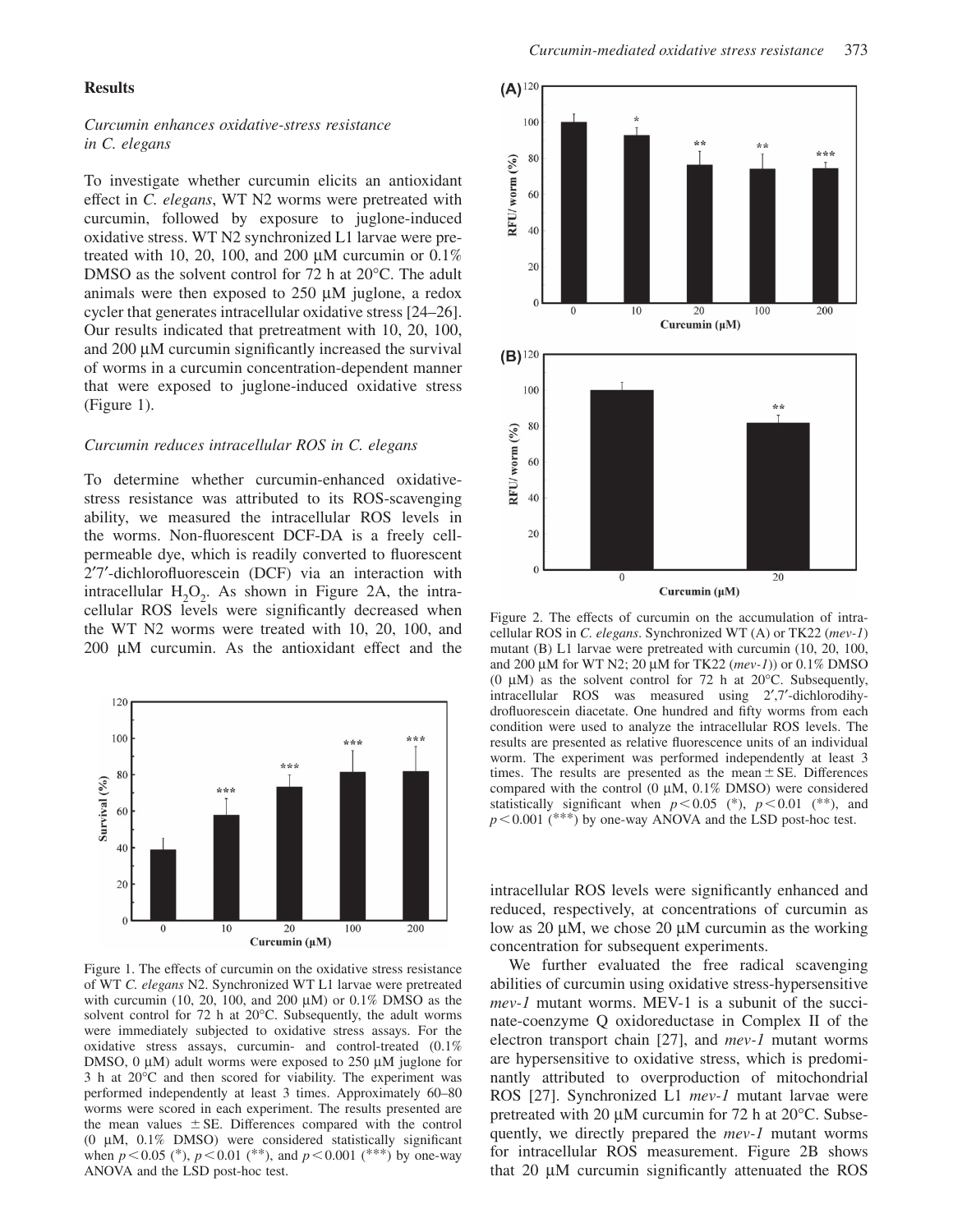### **Results**

### *Curcumin enhances oxidative-stress resistance in C. elegans*

 To investigate whether curcumin elicits an antioxidant effect in *C. elegans*, WT N2 worms were pretreated with curcumin, followed by exposure to juglone-induced oxidative stress. WT N2 synchronized L1 larvae were pretreated with 10, 20, 100, and 200  $\mu$ M curcumin or 0.1% DMSO as the solvent control for  $72$  h at  $20^{\circ}$ C. The adult animals were then exposed to  $250 \mu M$  juglone, a redox cycler that generates intracellular oxidative stress [24–26]. Our results indicated that pretreatment with 10, 20, 100, and  $200 \mu$ M curcumin significantly increased the survival of worms in a curcumin concentration-dependent manner that were exposed to juglone-induced oxidative stress (Figure 1).

### *Curcumin reduces intracellular ROS in C. elegans*

 To determine whether curcumin-enhanced oxidativestress resistance was attributed to its ROS-scavenging ability, we measured the intracellular ROS levels in the worms. Non-fluorescent DCF-DA is a freely cellpermeable dye, which is readily converted to fluorescent 2'7'-dichlorofluorescein (DCF) via an interaction with intracellular  $H_2O_2$ . As shown in Figure 2A, the intracellular ROS levels were significantly decreased when the WT N2 worms were treated with 10, 20, 100, and 200  $\mu$ M curcumin. As the antioxidant effect and the



Figure 1. The effects of curcumin on the oxidative stress resistance of WT *C. elegans* N2. Synchronized WT L1 larvae were pretreated with curcumin (10, 20, 100, and 200  $\mu$ M) or 0.1% DMSO as the solvent control for 72 h at  $20^{\circ}$ C. Subsequently, the adult worms were immediately subjected to oxidative stress assays. For the oxidative stress assays, curcumin- and control-treated (0.1% DMSO, 0  $\mu$ M) adult worms were exposed to 250  $\mu$ M juglone for  $3$  h at  $20^{\circ}$ C and then scored for viability. The experiment was performed independently at least 3 times. Approximately 60-80 worms were scored in each experiment. The results presented are the mean values  $\pm$  SE. Differences compared with the control (0  $\mu$ M, 0.1% DMSO) were considered statistically significant when  $p < 0.05$  (\*),  $p < 0.01$  (\*\*), and  $p < 0.001$  (\*\*\*) by one-way ANOVA and the LSD post-hoc test.



Figure 2. The effects of curcumin on the accumulation of intracellular ROS in *C. elegans*. Synchronized WT (A) or TK22 (mev-1) mutant (B) L1 larvae were pretreated with curcumin (10, 20, 100, and 200 μM for WT N2; 20 μM for TK22 (*mev-1*)) or 0.1% DMSO (0  $\mu$ M) as the solvent control for 72 h at 20 $\degree$ C. Subsequently, intracellular ROS was measured using 2',7'-dichlorodihydrofluorescein diacetate. One hundred and fifty worms from each condition were used to analyze the intracellular ROS levels. The results are presented as relative fluorescence units of an individual worm. The experiment was performed independently at least 3 times. The results are presented as the mean  $\pm$  SE. Differences compared with the control (0  $\mu$ M, 0.1% DMSO) were considered statistically significant when  $p < 0.05$  (\*),  $p < 0.01$  (\*\*), and *p* < 0.001 (\*\*\*) by one-way ANOVA and the LSD post-hoc test.

intracellular ROS levels were significantly enhanced and reduced, respectively, at concentrations of curcumin as low as 20 μM, we chose 20 μM curcumin as the working concentration for subsequent experiments.

 We further evaluated the free radical scavenging abilities of curcumin using oxidative stress-hypersensitive *mev-1* mutant worms. MEV-1 is a subunit of the succinate-coenzyme Q oxidoreductase in Complex II of the electron transport chain [27], and *mev-1* mutant worms are hypersensitive to oxidative stress, which is predominantly attributed to overproduction of mitochondrial ROS [27]. Synchronized L1 *mev-1* mutant larvae were pretreated with 20  $\mu$ M curcumin for 72 h at 20 $\degree$ C. Subsequently, we directly prepared the *mev-1* mutant worms for intracellular ROS measurement. Figure 2B shows that  $20 \mu M$  curcumin significantly attenuated the ROS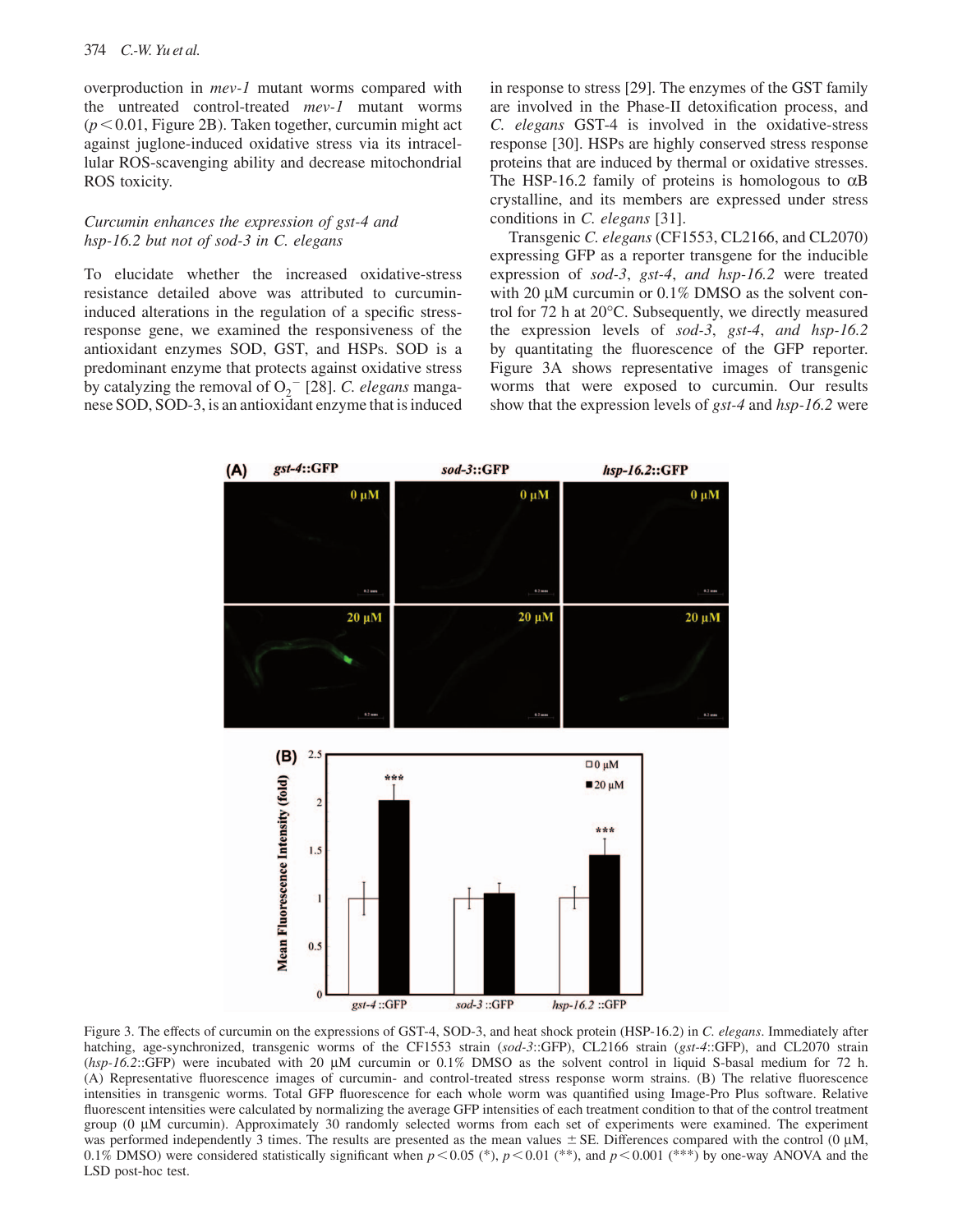overproduction in *mev-1* mutant worms compared with the untreated control-treated *mev-1* mutant worms  $(p<0.01$ , Figure 2B). Taken together, curcumin might act against juglone-induced oxidative stress via its intracellular ROS-scavenging ability and decrease mitochondrial ROS toxicity.

### *Curcumin enhances the expression of gst-4 and hsp-16.2 but not of sod-3 in C. elegans*

 To elucidate whether the increased oxidative-stress resistance detailed above was attributed to curcumininduced alterations in the regulation of a specific stressresponse gene, we examined the responsiveness of the antioxidant enzymes SOD, GST, and HSPs. SOD is a predominant enzyme that protects against oxidative stress by catalyzing the removal of  $O_2^-$  [28]. *C. elegans* manganese SOD, SOD-3, is an antioxidant enzyme that is induced in response to stress [29]. The enzymes of the GST family are involved in the Phase-II detoxification process, and *C. elegans* GST-4 is involved in the oxidative-stress response [30]. HSPs are highly conserved stress response proteins that are induced by thermal or oxidative stresses. The HSP-16.2 family of proteins is homologous to  $\alpha$ B crystalline, and its members are expressed under stress conditions in *C. elegans* [31].

 Transgenic *C. elegans* (CF1553, CL2166, and CL2070) expressing GFP as a reporter transgene for the inducible expression of *sod-3* , *gst-4*, *and hsp-16.2* were treated with 20  $\mu$ M curcumin or 0.1% DMSO as the solvent control for 72 h at  $20^{\circ}$ C. Subsequently, we directly measured the expression levels of *sod-3* , *gst-4*, *and hsp-16.2* by quantitating the fluorescence of the GFP reporter. Figure 3A shows representative images of transgenic worms that were exposed to curcumin. Our results show that the expression levels of *gst-4* and *hsp-16.2* were



Figure 3. The effects of curcumin on the expressions of GST-4, SOD-3, and heat shock protein (HSP-16.2) in *C. elegans*. Immediately after hatching, age-synchronized, transgenic worms of the CF1553 strain (sod-3::GFP), CL2166 strain (gst-4::GFP), and CL2070 strain (*hsp-16.2*::GFP) were incubated with 20 μM curcumin or 0.1% DMSO as the solvent control in liquid S-basal medium for 72 h. (A) Representative fluorescence images of curcumin- and control-treated stress response worm strains. (B) The relative fluorescence intensities in transgenic worms. Total GFP fluorescence for each whole worm was quantified using Image-Pro Plus software. Relative fluorescent intensities were calculated by normalizing the average GFP intensities of each treatment condition to that of the control treatment group (0 μ M curcumin). Approximately 30 randomly selected worms from each set of experiments were examined. The experiment was performed independently 3 times. The results are presented as the mean values  $\pm$  SE. Differences compared with the control (0  $\mu$ M, 0.1% DMSO) were considered statistically significant when  $p < 0.05$  (\*),  $p < 0.01$  (\*\*), and  $p < 0.001$  (\*\*\*) by one-way ANOVA and the LSD post-hoc test.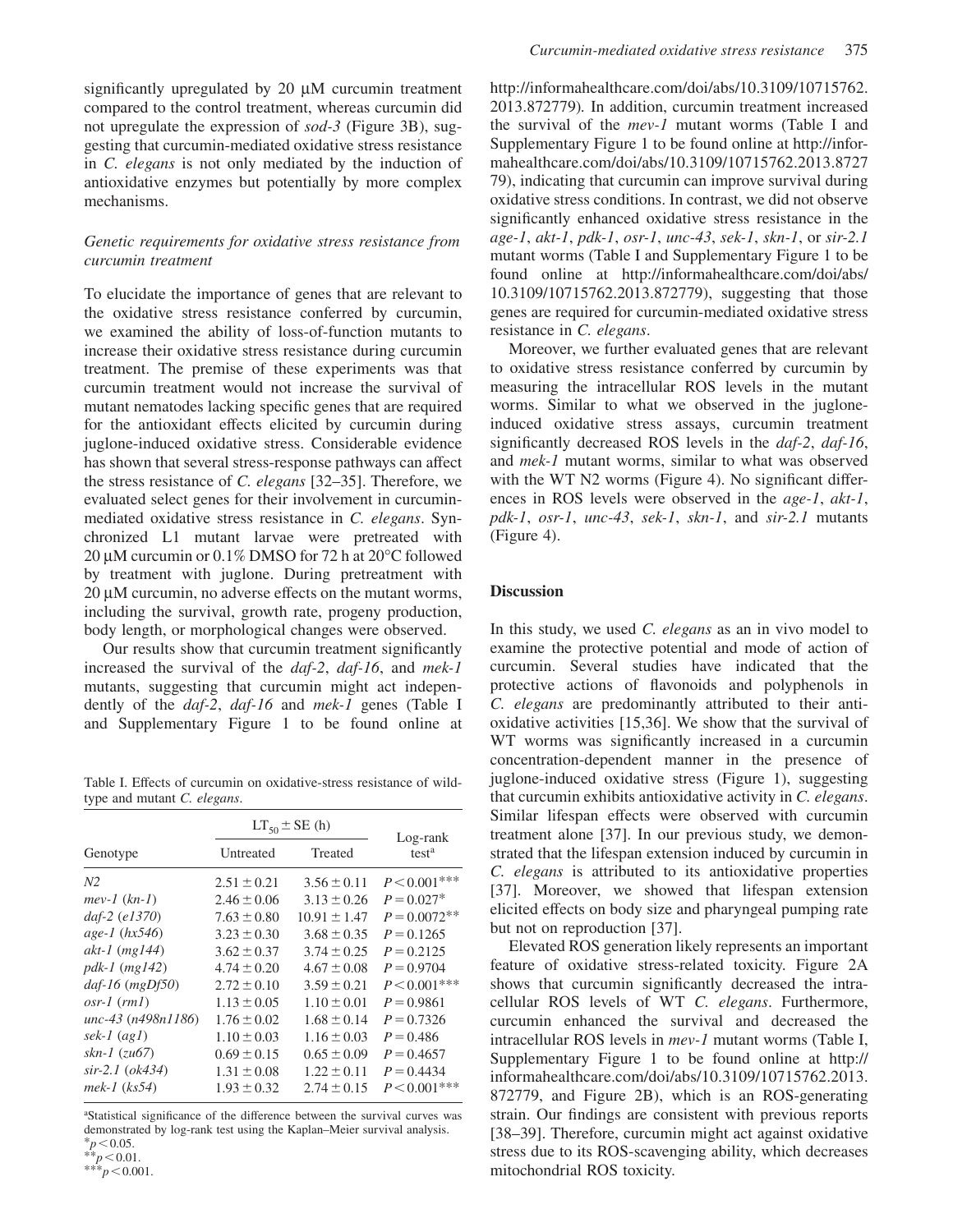significantly upregulated by  $20 \mu M$  curcumin treatment compared to the control treatment, whereas curcumin did not upregulate the expression of *sod-3* (Figure 3B), suggesting that curcumin-mediated oxidative stress resistance in *C. elegans* is not only mediated by the induction of antioxidative enzymes but potentially by more complex mechanisms.

### *Genetic requirements for oxidative stress resistance from curcumin treatment*

 To elucidate the importance of genes that are relevant to the oxidative stress resistance conferred by curcumin, we examined the ability of loss-of-function mutants to increase their oxidative stress resistance during curcumin treatment. The premise of these experiments was that curcumin treatment would not increase the survival of mutant nematodes lacking specific genes that are required for the antioxidant effects elicited by curcumin during juglone-induced oxidative stress. Considerable evidence has shown that several stress-response pathways can affect the stress resistance of *C. elegans* [32–35]. Therefore, we evaluated select genes for their involvement in curcuminmediated oxidative stress resistance in *C. elegans* . Synchronized L1 mutant larvae were pretreated with 20 μM curcumin or  $0.1\%$  DMSO for 72 h at 20 $\degree$ C followed by treatment with juglone. During pretreatment with  $20 \mu$ M curcumin, no adverse effects on the mutant worms, including the survival, growth rate, progeny production, body length, or morphological changes were observed.

Our results show that curcumin treatment significantly increased the survival of the *daf-2* , *daf-16* , and *mek-1* mutants, suggesting that curcumin might act independently of the *daf-2* , *daf-16* and *mek-1* genes (Table I and Supplementary Figure 1 to be found online at

Table I. Effects of curcumin on oxidative-stress resistance of wildtype and mutant *C. elegans* .

|                       | $LT_{50} \pm SE(h)$ |                  |                               |
|-----------------------|---------------------|------------------|-------------------------------|
| Genotype              | Untreated           | Treated          | Log-rank<br>test <sup>a</sup> |
| N <sub>2</sub>        | $2.51 \pm 0.21$     | $3.56 \pm 0.11$  | $P < 0.001$ ***               |
| $mev-1$ $(kn-1)$      | $2.46 \pm 0.06$     | $3.13 \pm 0.26$  | $P = 0.027*$                  |
| $daf-2$ (e1370)       | $7.63 \pm 0.80$     | $10.91 \pm 1.47$ | $P = 0.0072$ **               |
| $age-1 (hx546)$       | $3.23 \pm 0.30$     | $3.68 \pm 0.35$  | $P = 0.1265$                  |
| $akt-1$ (mg144)       | $3.62 \pm 0.37$     | $3.74 \pm 0.25$  | $P = 0.2125$                  |
| $pdk-1$ (mg142)       | $4.74 \pm 0.20$     | $4.67 \pm 0.08$  | $P = 0.9704$                  |
| $daf-16$ ( $mgDf50$ ) | $2.72 \pm 0.10$     | $3.59 \pm 0.21$  | $P < 0.001$ ***               |
| $osr-1$ ( $rm1$ )     | $1.13 \pm 0.05$     | $1.10 \pm 0.01$  | $P = 0.9861$                  |
| unc-43 (n498n1186)    | $1.76 \pm 0.02$     | $1.68 \pm 0.14$  | $P = 0.7326$                  |
| $sek-1$ $(ag1)$       | $1.10 \pm 0.03$     | $1.16 \pm 0.03$  | $P = 0.486$                   |
| $skn-1$ (zu67)        | $0.69 \pm 0.15$     | $0.65 \pm 0.09$  | $P = 0.4657$                  |
| $sir-2.1$ ( $ok434$ ) | $1.31 \pm 0.08$     | $1.22 \pm 0.11$  | $P = 0.4434$                  |
| $mek-1$ $(ks54)$      | $1.93 \pm 0.32$     | $2.74 \pm 0.15$  | $P < 0.001$ ***               |

<sup>a</sup>Statistical significance of the difference between the survival curves was demonstrated by log-rank test using the Kaplan–Meier survival analysis.<br> ${}_{p}^{*}p<0.05$ .

<sup>∗</sup>*<sup>p</sup>* 0.05. ∗∗*<sup>p</sup>* 0.01. ∗∗∗*p* 0.001.

http://informahealthcare.com/doi/abs/10.3109/10715762. 2013.872779) *.* In addition, curcumin treatment increased the survival of the *mev-1* mutant worms (Table I and Supplementary Figure 1 to be found online at http://informahealthcare.com/doi/abs/10.3109/10715762.2013.8727 79), indicating that curcumin can improve survival during oxidative stress conditions. In contrast, we did not observe significantly enhanced oxidative stress resistance in the *age-1*, *akt-1*, *pdk-1*, *osr-1*, *unc-43*, *sek-1*, *skn-1*, or *sir-2.1* mutant worms (Table I and Supplementary Figure 1 to be found online at http://informahealthcare.com/doi/abs/ 10.3109/10715762.2013.872779), suggesting that those genes are required for curcumin-mediated oxidative stress resistance in *C. elegans* .

 Moreover, we further evaluated genes that are relevant to oxidative stress resistance conferred by curcumin by measuring the intracellular ROS levels in the mutant worms. Similar to what we observed in the jugloneinduced oxidative stress assays, curcumin treatment significantly decreased ROS levels in the *daf-2*, *daf-16*, and *mek-1* mutant worms, similar to what was observed with the WT  $N2$  worms (Figure 4). No significant differences in ROS levels were observed in the *age-1*, *akt-1*, *pdk-1*, *osr-1*, *unc-43*, *sek-1*, *skn-1*, and *sir-2.1* mutants (Figure 4).

### **Discussion**

 In this study, we used *C. elegans* as an in vivo model to examine the protective potential and mode of action of curcumin. Several studies have indicated that the protective actions of flavonoids and polyphenols in *C. elegans* are predominantly attributed to their antioxidative activities [15,36]. We show that the survival of WT worms was significantly increased in a curcumin concentration-dependent manner in the presence of juglone-induced oxidative stress (Figure 1), suggesting that curcumin exhibits antioxidative activity in *C. elegans* . Similar lifespan effects were observed with curcumin treatment alone [37]. In our previous study, we demonstrated that the lifespan extension induced by curcumin in *C. elegans* is attributed to its antioxidative properties [37]. Moreover, we showed that lifespan extension elicited effects on body size and pharyngeal pumping rate but not on reproduction [37].

 Elevated ROS generation likely represents an important feature of oxidative stress-related toxicity. Figure 2A shows that curcumin significantly decreased the intracellular ROS levels of WT *C. elegans*. Furthermore, curcumin enhanced the survival and decreased the intracellular ROS levels in *mev-1* mutant worms (Table I, Supplementary Figure 1 to be found online at http:// informahealthcare.com/doi/abs/10.3109/10715762.2013. 872779, and Figure 2B), which is an ROS-generating strain. Our findings are consistent with previous reports [38–39]. Therefore, curcumin might act against oxidative stress due to its ROS-scavenging ability, which decreases mitochondrial ROS toxicity.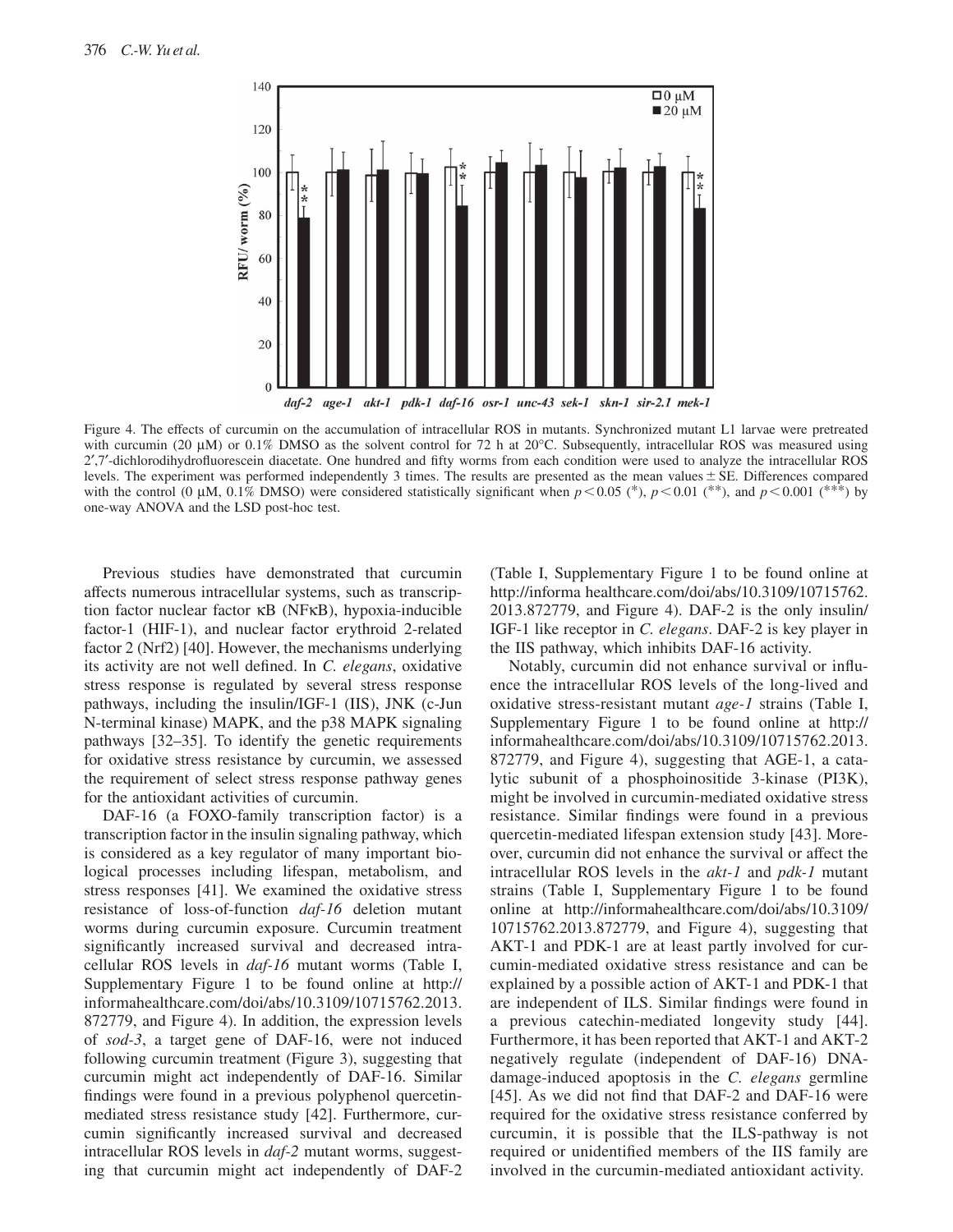

Figure 4. The effects of curcumin on the accumulation of intracellular ROS in mutants. Synchronized mutant L1 larvae were pretreated with curcumin (20  $\mu$ M) or 0.1% DMSO as the solvent control for 72 h at 20 $^{\circ}$ C. Subsequently, intracellular ROS was measured using 2',7'-dichlorodihydrofluorescein diacetate. One hundred and fifty worms from each condition were used to analyze the intracellular ROS levels. The experiment was performed independently 3 times. The results are presented as the mean values  $\pm$  SE. Differences compared with the control (0  $\mu$ M, 0.1% DMSO) were considered statistically significant when  $p < 0.05$  (\*),  $p < 0.01$  (\*\*), and  $p < 0.001$  (\*\*\*) by one-way ANOVA and the LSD post-hoc test.

 Previous studies have demonstrated that curcumin affects numerous intracellular systems, such as transcription factor nuclear factor κB (NF κB), hypoxia-inducible factor-1 (HIF-1), and nuclear factor erythroid 2-related factor 2 (Nrf2) [40]. However, the mechanisms underlying its activity are not well defined. In *C. elegans*, oxidative stress response is regulated by several stress response pathways, including the insulin/IGF-1 (IIS), JNK (c-Jun N-terminal kinase) MAPK, and the p38 MAPK signaling pathways [32–35]. To identify the genetic requirements for oxidative stress resistance by curcumin, we assessed the requirement of select stress response pathway genes for the antioxidant activities of curcumin.

 DAF-16 (a FOXO-family transcription factor) is a transcription factor in the insulin signaling pathway, which is considered as a key regulator of many important biological processes including lifespan, metabolism, and stress responses [41]. We examined the oxidative stress resistance of loss-of-function *daf-16* deletion mutant worms during curcumin exposure. Curcumin treatment significantly increased survival and decreased intracellular ROS levels in *daf-16* mutant worms (Table I, Supplementary Figure 1 to be found online at http:// informahealthcare.com/doi/abs/10.3109/10715762.2013. 872779, and Figure 4). In addition, the expression levels of *sod-3* , a target gene of DAF-16, were not induced following curcumin treatment (Figure 3), suggesting that curcumin might act independently of DAF-16. Similar findings were found in a previous polyphenol quercetinmediated stress resistance study [42]. Furthermore, curcumin significantly increased survival and decreased intracellular ROS levels in *daf-2* mutant worms, suggesting that curcumin might act independently of DAF-2 (Table I, Supplementary Figure 1 to be found online at http://informa healthcare.com/doi/abs/10.3109/10715762. 2013.872779, and Figure 4). DAF-2 is the only insulin/ IGF-1 like receptor in *C. elegans* . DAF-2 is key player in the IIS pathway, which inhibits DAF-16 activity.

Notably, curcumin did not enhance survival or influence the intracellular ROS levels of the long-lived and oxidative stress-resistant mutant *age-1* strains (Table I, Supplementary Figure 1 to be found online at http:// informahealthcare.com/doi/abs/10.3109/10715762.2013. 872779, and Figure 4), suggesting that AGE-1, a catalytic subunit of a phosphoinositide 3-kinase (PI3K), might be involved in curcumin-mediated oxidative stress resistance. Similar findings were found in a previous quercetin-mediated lifespan extension study [43]. Moreover, curcumin did not enhance the survival or affect the intracellular ROS levels in the *akt-1* and *pdk-1* mutant strains (Table I, Supplementary Figure 1 to be found online at http://informahealthcare.com/doi/abs/10.3109/ 10715762.2013.872779, and Figure 4), suggesting that AKT-1 and PDK-1 are at least partly involved for curcumin-mediated oxidative stress resistance and can be explained by a possible action of AKT-1 and PDK-1 that are independent of ILS. Similar findings were found in a previous catechin-mediated longevity study [44]. Furthermore, it has been reported that AKT-1 and AKT-2 negatively regulate (independent of DAF-16) DNAdamage-induced apoptosis in the *C. elegans* germline  $[45]$ . As we did not find that DAF-2 and DAF-16 were required for the oxidative stress resistance conferred by curcumin, it is possible that the ILS-pathway is not required or unidentified members of the IIS family are involved in the curcumin-mediated antioxidant activity.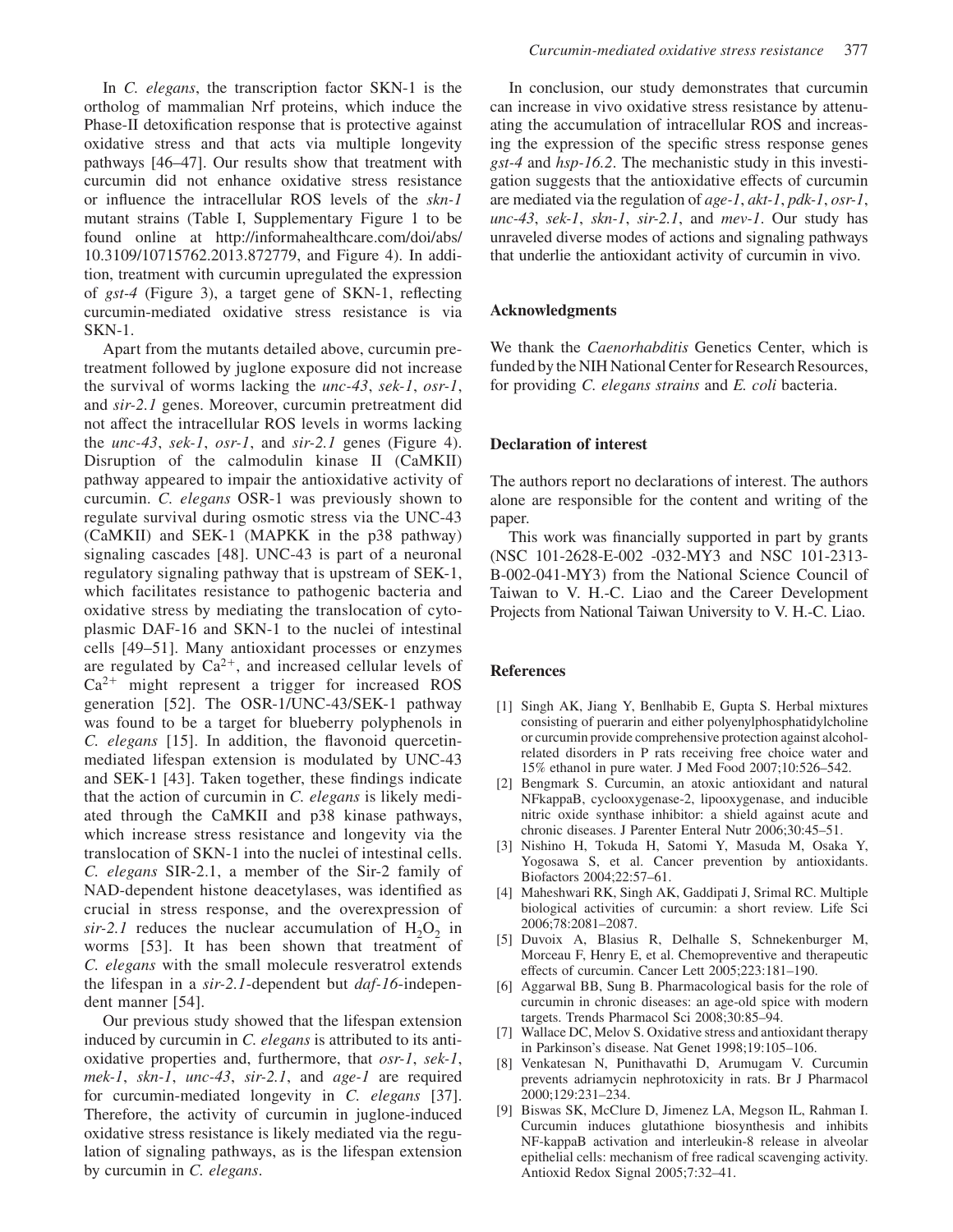In *C. elegans*, the transcription factor SKN-1 is the ortholog of mammalian Nrf proteins, which induce the Phase-II detoxification response that is protective against oxidative stress and that acts via multiple longevity pathways  $[46-47]$ . Our results show that treatment with curcumin did not enhance oxidative stress resistance or infl uence the intracellular ROS levels of the *skn-1* mutant strains (Table I, Supplementary Figure 1 to be found online at http://informahealthcare.com/doi/abs/ 10.3109/10715762.2013.872779, and Figure 4). In addition, treatment with curcumin upregulated the expression of *gst-4* (Figure 3), a target gene of SKN-1, reflecting curcumin-mediated oxidative stress resistance is via SKN-1.

 Apart from the mutants detailed above, curcumin pretreatment followed by juglone exposure did not increase the survival of worms lacking the *unc-43*, *sek-1*, *osr-1* , and *sir-2.1* genes. Moreover, curcumin pretreatment did not affect the intracellular ROS levels in worms lacking the *unc-43*, *sek-1*, *osr-1* , and *sir-2.1* genes (Figure 4). Disruption of the calmodulin kinase II (CaMKII) pathway appeared to impair the antioxidative activity of curcumin. *C. elegans* OSR-1 was previously shown to regulate survival during osmotic stress via the UNC-43 (CaMKII) and SEK-1 (MAPKK in the p38 pathway) signaling cascades [48]. UNC-43 is part of a neuronal regulatory signaling pathway that is upstream of SEK-1, which facilitates resistance to pathogenic bacteria and oxidative stress by mediating the translocation of cytoplasmic DAF-16 and SKN-1 to the nuclei of intestinal cells [49-51]. Many antioxidant processes or enzymes are regulated by  $Ca^{2+}$ , and increased cellular levels of  $Ca<sup>2+</sup>$  might represent a trigger for increased ROS generation [52]. The OSR-1/UNC-43/SEK-1 pathway was found to be a target for blueberry polyphenols in *C. elegans* [15]. In addition, the flavonoid quercetinmediated lifespan extension is modulated by UNC-43 and SEK-1 [43]. Taken together, these findings indicate that the action of curcumin in *C. elegans* is likely mediated through the CaMKII and p38 kinase pathways, which increase stress resistance and longevity via the translocation of SKN-1 into the nuclei of intestinal cells. *C. elegans* SIR-2.1, a member of the Sir-2 family of NAD-dependent histone deacetylases, was identified as crucial in stress response, and the overexpression of  $sir-2.1$  reduces the nuclear accumulation of  $H_2O_2$  in worms [53]. It has been shown that treatment of *C. elegans* with the small molecule resveratrol extends the lifespan in a *sir-2.1* -dependent but *daf-16* -independent manner [54].

 Our previous study showed that the lifespan extension induced by curcumin in *C. elegans* is attributed to its antioxidative properties and, furthermore, that *osr-1*, *sek-1*, *mek-1*, *skn-1*, *unc-43*, *sir-2.1* , and *age-1* are required for curcumin-mediated longevity in *C. elegans* [37]. Therefore, the activity of curcumin in juglone-induced oxidative stress resistance is likely mediated via the regulation of signaling pathways, as is the lifespan extension by curcumin in *C. elegans* .

 In conclusion, our study demonstrates that curcumin can increase in vivo oxidative stress resistance by attenuating the accumulation of intracellular ROS and increasing the expression of the specific stress response genes *gst-4* and *hsp-16.2* . The mechanistic study in this investigation suggests that the antioxidative effects of curcumin are mediated via the regulation of *age-1*, *akt-1*, *pdk-1*, *osr-1*, *unc-43*, *sek-1*, *skn-1*, *sir-2.1* , and *mev-1* . Our study has unraveled diverse modes of actions and signaling pathways that underlie the antioxidant activity of curcumin in vivo.

### **Acknowledgments**

 We thank the *Caenorhabditis* Genetics Center, which is funded by the NIH National Center for Research Resources, for providing *C. elegans strains* and *E. coli* bacteria.

### **Declaration of interest**

 The authors report no declarations of interest. The authors alone are responsible for the content and writing of the paper.

This work was financially supported in part by grants (NSC 101-2628-E-002 -032-MY3 and NSC 101-2313- B-002-041-MY3) from the National Science Council of Taiwan to V. H.-C. Liao and the Career Development Projects from National Taiwan University to V. H.-C. Liao.

### **References**

- [1] Singh AK, Jiang Y, Benlhabib E, Gupta S. Herbal mixtures consisting of puerarin and either polyenylphosphatidylcholine or curcumin provide comprehensive protection against alcoholrelated disorders in P rats receiving free choice water and 15% ethanol in pure water. J Med Food 2007;10:526–542.
- [2] Bengmark S. Curcumin, an atoxic antioxidant and natural NFkappaB, cyclooxygenase-2, lipooxygenase, and inducible nitric oxide synthase inhibitor: a shield against acute and chronic diseases. J Parenter Enteral Nutr 2006;30:45-51.
- [3] Nishino H, Tokuda H, Satomi Y, Masuda M, Osaka Y, Yogosawa S, et al. Cancer prevention by antioxidants. Biofactors 2004;22:57-61.
- [4] Maheshwari RK, Singh AK, Gaddipati J, Srimal RC. Multiple biological activities of curcumin: a short review. Life Sci 2006;78:2081-2087.
- [5] Duvoix A, Blasius R, Delhalle S, Schnekenburger M, Morceau F, Henry E, et al. Chemopreventive and therapeutic effects of curcumin. Cancer Lett 2005;223:181-190.
- [6] Aggarwal BB, Sung B. Pharmacological basis for the role of curcumin in chronic diseases: an age-old spice with modern targets. Trends Pharmacol Sci 2008;30:85-94.
- [7] Wallace DC, Melov S. Oxidative stress and antioxidant therapy in Parkinson's disease. Nat Genet 1998:19:105-106.
- [8] Venkatesan N, Punithavathi D, Arumugam V. Curcumin prevents adriamycin nephrotoxicity in rats . Br J Pharmacol 2000;129:231-234.
- [9] Biswas SK, McClure D, Jimenez LA, Megson IL, Rahman I. Curcumin induces glutathione biosynthesis and inhibits NF-kappaB activation and interleukin-8 release in alveolar epithelial cells: mechanism of free radical scavenging activity. Antioxid Redox Signal 2005;7:32-41.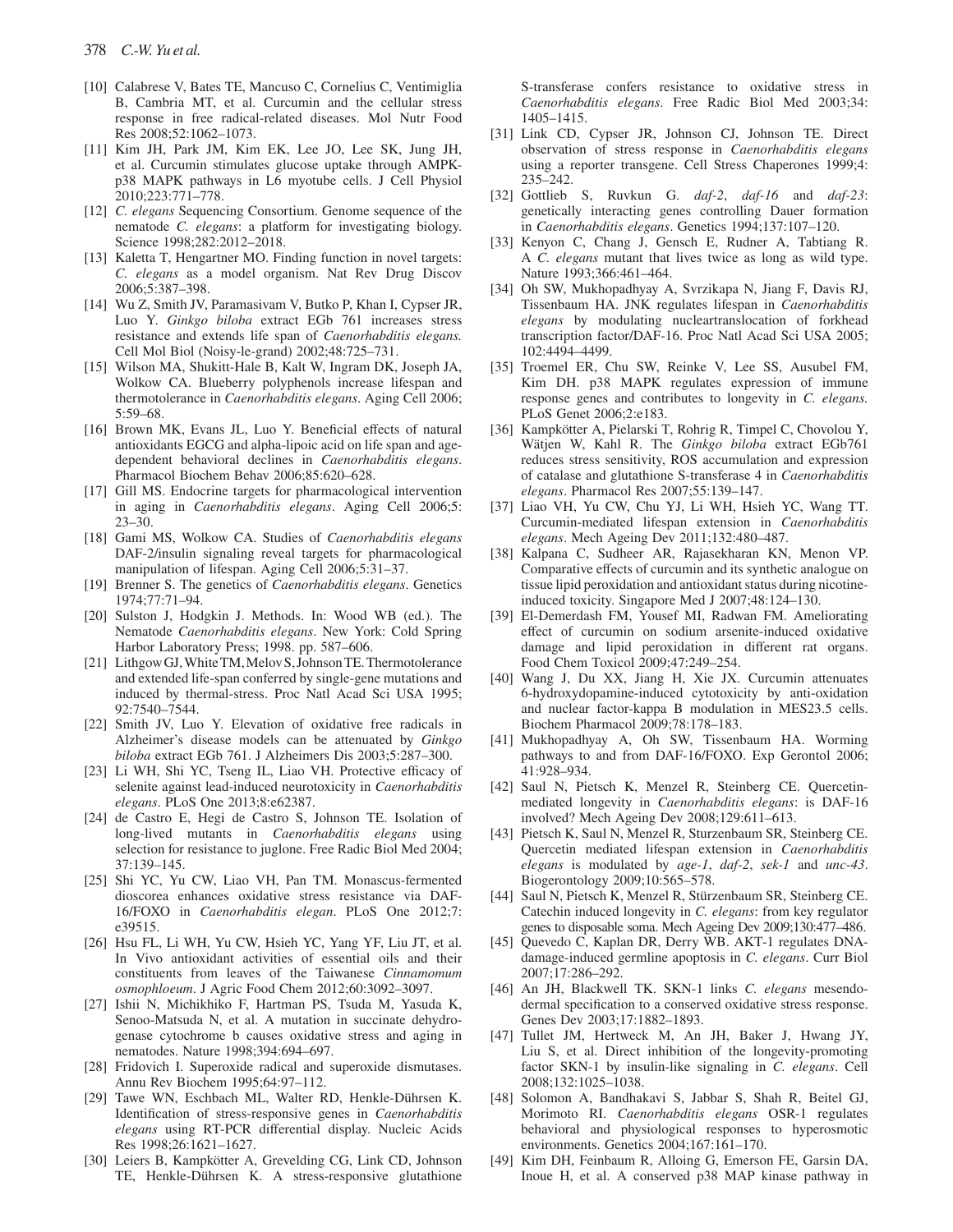- [10] Calabrese V, Bates TE, Mancuso C, Cornelius C, Ventimiglia B, Cambria MT, et al. Curcumin and the cellular stress response in free radical-related diseases . Mol Nutr Food Res 2008;52:1062-1073.
- [11] Kim JH, Park JM, Kim EK, Lee JO, Lee SK, Jung JH, et al. Curcumin stimulates glucose uptake through AMPKp38 MAPK pathways in L6 myotube cells . J Cell Physiol 2010;223:771-778.
- [12] *C. elegans* Sequencing Consortium. Genome sequence of the nematode *C. elegans*: a platform for investigating biology. Science 1998:282:2012-2018.
- [13] Kaletta T, Hengartner MO. Finding function in novel targets: *C. elegans* as a model organism. Nat Rev Drug Discov 2006;5:387-398.
- [14] Wu Z, Smith JV, Paramasivam V, Butko P, Khan I, Cypser JR, Luo Y. *Ginkgo biloba* extract EGb 761 increases stress resistance and extends life span of *Caenorhabditis elegans.* Cell Mol Biol (Noisy-le-grand) 2002;48:725–731.
- [15] Wilson MA, Shukitt-Hale B, Kalt W, Ingram DK, Joseph JA, Wolkow CA . Blueberry polyphenols increase lifespan and thermotolerance in *Caenorhabditis elegans* . Aging Cell 2006 ; 5:59-68.
- [16] Brown MK, Evans JL, Luo Y. Beneficial effects of natural antioxidants EGCG and alpha-lipoic acid on life span and agedependent behavioral declines in *Caenorhabditis elegans* . Pharmacol Biochem Behav 2006;85:620-628.
- [17] Gill MS. Endocrine targets for pharmacological intervention in aging in *Caenorhabditis elegans*. Aging Cell 2006;5:  $23 - 30$ .
- [18] Gami MS , Wolkow CA . Studies of *Caenorhabditis elegans* DAF-2/insulin signaling reveal targets for pharmacological manipulation of lifespan. Aging Cell 2006;5:31-37.
- [19] Brenner S. The genetics of *Caenorhabditis elegans*. Genetics 1974;77:71-94.
- [20] Sulston J, Hodgkin J. Methods. In: Wood WB (ed.). The Nematode *Caenorhabditis elegans* . New York: Cold Spring Harbor Laboratory Press; 1998. pp. 587-606.
- [21] Lithgow GJ, White TM, Melov S, Johnson TE. Thermotolerance and extended life-span conferred by single-gene mutations and induced by thermal-stress. Proc Natl Acad Sci USA 1995; 92:7540-7544.
- [22] Smith JV, Luo Y. Elevation of oxidative free radicals in Alzheimer's disease models can be attenuated by *Ginkgo biloba* extract EGb 761. J Alzheimers Dis 2003;5:287-300.
- [23] Li WH, Shi YC, Tseng IL, Liao VH. Protective efficacy of selenite against lead-induced neurotoxicity in *Caenorhabditis elegans* . PLoS One 2013 ; 8 : e62387 .
- [24] de Castro E, Hegi de Castro S, Johnson TE. Isolation of long-lived mutants in *Caenorhabditis elegans* using selection for resistance to juglone. Free Radic Biol Med 2004; 37 : 139 – 145 .
- [25] Shi YC, Yu CW, Liao VH, Pan TM. Monascus-fermented dioscorea enhances oxidative stress resistance via DAF-16/FOXO in *Caenorhabditis elegan*. PLoS One 2012;7: e39515.
- [26] Hsu FL, Li WH, Yu CW, Hsieh YC, Yang YF, Liu JT, et al. In Vivo antioxidant activities of essential oils and their constituents from leaves of the Taiwanese *Cinnamomum osmophloeum* . J Agric Food Chem 2012 ; 60 : 3092 – 3097 .
- [27] Ishii N, Michikhiko F, Hartman PS, Tsuda M, Yasuda K, Senoo-Matsuda N, et al. A mutation in succinate dehydrogenase cytochrome b causes oxidative stress and aging in nematodes. Nature 1998;394:694-697.
- [28] Fridovich I. Superoxide radical and superoxide dismutases. Annu Rev Biochem 1995;64:97-112.
- [29] Tawe WN, Eschbach ML, Walter RD, Henkle-Dührsen K. Identification of stress-responsive genes in *Caenorhabditis* elegans using RT-PCR differential display. Nucleic Acids Res 1998;26:1621-1627.
- [30] Leiers B, Kampkötter A, Grevelding CG, Link CD, Johnson TE, Henkle-Dührsen K. A stress-responsive glutathione

S-transferase confers resistance to oxidative stress in *Caenorhabditis elegans*. Free Radic Biol Med 2003;34: 1405 – 1415.

- [31] Link CD, Cypser JR, Johnson CJ, Johnson TE. Direct observation of stress response in *Caenorhabditis elegans* using a reporter transgene. Cell Stress Chaperones 1999;4: 235 – 242.
- [32] Gottlieb S, Ruvkun G. *daf-2*, *daf-16* and *daf-23*: genetically interacting genes controlling Dauer formation in *Caenorhabditis elegans* . Genetics 1994 ; 137 : 107 – 120 .
- [33] Kenyon C, Chang J, Gensch E, Rudner A, Tabtiang R. A *C. elegans* mutant that lives twice as long as wild type. Nature 1993;366:461-464.
- [34] Oh SW, Mukhopadhyay A, Svrzikapa N, Jiang F, Davis RJ, Tissenbaum HA . JNK regulates lifespan in *Caenorhabditis elegans* by modulating nucleartranslocation of forkhead transcription factor/DAF-16. Proc Natl Acad Sci USA 2005; 102:4494-4499.
- [35] Troemel ER, Chu SW, Reinke V, Lee SS, Ausubel FM, Kim DH. p38 MAPK regulates expression of immune response genes and contributes to longevity in *C. elegans.* PLoS Genet 2006;2:e183.
- [36] Kampkötter A, Pielarski T, Rohrig R, Timpel C, Chovolou Y, Wätjen W, Kahl R. The *Ginkgo biloba* extract EGb761 reduces stress sensitivity, ROS accumulation and expression of catalase and glutathione S-transferase 4 in *Caenorhabditis elegans*. Pharmacol Res 2007;55:139-147.
- [37] Liao VH, Yu CW, Chu YJ, Li WH, Hsieh YC, Wang TT. Curcumin-mediated lifespan extension in *Caenorhabditis elegans*. Mech Ageing Dev 2011;132:480-487.
- [38] Kalpana C, Sudheer AR, Rajasekharan KN, Menon VP. Comparative effects of curcumin and its synthetic analogue on tissue lipid peroxidation and antioxidant status during nicotineinduced toxicity. Singapore Med J 2007;48:124-130.
- [39] El-Demerdash FM, Yousef MI, Radwan FM. Ameliorating effect of curcumin on sodium arsenite-induced oxidative damage and lipid peroxidation in different rat organs. Food Chem Toxicol 2009;47:249-254.
- [40] Wang J, Du XX, Jiang H, Xie JX. Curcumin attenuates 6-hydroxydopamine-induced cytotoxicity by anti-oxidation and nuclear factor-kappa B modulation in MES23.5 cells. Biochem Pharmacol 2009;78:178-183.
- [41] Mukhopadhyay A, Oh SW, Tissenbaum HA. Worming pathways to and from DAF-16/FOXO. Exp Gerontol 2006; 41:928-934.
- [42] Saul N, Pietsch K, Menzel R, Steinberg CE. Quercetinmediated longevity in *Caenorhabditis elegans*: is DAF-16 involved? Mech Ageing Dev 2008;129:611-613.
- [43] Pietsch K, Saul N, Menzel R, Sturzenbaum SR, Steinberg CE. Quercetin mediated lifespan extension in *Caenorhabditis elegans* is modulated by *age-1*, *daf-2*, *sek-1* and *unc-43* . Biogerontology 2009;10:565-578.
- [44] Saul N, Pietsch K, Menzel R, Stürzenbaum SR, Steinberg CE. Catechin induced longevity in *C. elegans*: from key regulator genes to disposable soma. Mech Ageing Dev 2009;130:477-486.
- [45] Quevedo C, Kaplan DR, Derry WB. AKT-1 regulates DNAdamage-induced germline apoptosis in *C. elegans* . Curr Biol 2007;17:286-292.
- [46] An JH, Blackwell TK. SKN-1 links *C. elegans* mesendodermal specification to a conserved oxidative stress response. Genes Dev 2003;17:1882-1893.
- [47] Tullet JM, Hertweck M, An JH, Baker J, Hwang JY, Liu S, et al. Direct inhibition of the longevity-promoting factor SKN-1 by insulin-like signaling in *C. elegans* . Cell 2008;132:1025-1038
- [48] Solomon A, Bandhakavi S, Jabbar S, Shah R, Beitel GJ, Morimoto RI . *Caenorhabditis elegans* OSR-1 regulates behavioral and physiological responses to hyperosmotic environments. Genetics 2004;167:161-170.
- [49] Kim DH, Feinbaum R, Alloing G, Emerson FE, Garsin DA, Inoue H, et al. A conserved p38 MAP kinase pathway in